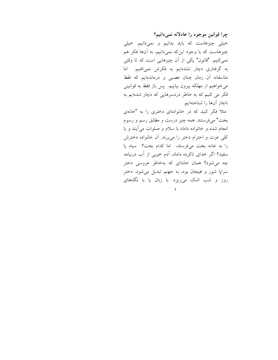چرا قوانین موجود را عادلانه نمی دانیم؟ خیلی چیزهاست که باید بدانیم و نمیدانیم. خیلی چیزهاست که با وجود اینکه نمیدانیم، به آنها فکر هم نمیکنیم. "قانون" یکی از آن چیزهایی است که تا وقتی به گرفتاری دچار نشدهایم به فکرش نمیافتیم. اما متاسفانه آن زمان چنان عصبی و درماندهایم که فقط میخواهیم از مهلکه بیرون بیاییم. پس باز فقط به قوانینی فکر می کنیم که به خاطر دردسرهایی که دچار شدهایم به ناچار آنها را شناختهایم.

مثلاً فکر کنید که در خانوادهای دختری را به "خانهی بخت" ميفر ستند. همه چيز درست و مطابق رسم و رسوم انجام شده و خانواده داماد با سلام و صلوات می آیند و با كلي عزت و احترام دختر را مي برند. أن خانواده دخترش را به خانه بخت میفرستد، اما کدام بخت؟ سیاه یا سفید؟ اگر خدای ناکرده داماد، آدم خوبی از آب درنیامد چه می شود؟ همان خانهای که بهخاطر عروسی دختر سراپا شور و هیجان بود، به جهنم تبدیل میشود. دختر روز و شب اشک می ریزد. با زبان یا با نگاههای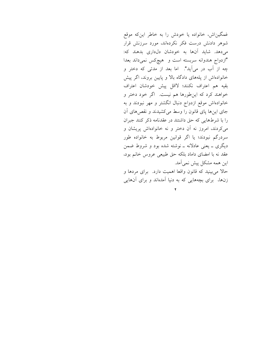غمگیناش، خانواده یا خودش را به خاطر اینکه موقع شوهر دادنش درست فکر نکردهاند، مورد سرزنش قرار میدهد. شاید آنها به خودشان دل داری بدهند که: "ازدواج هندوانه سربسته است و هیچکس نمیداند بعدا چه از آب در می آید". اما بعد از مدتی که دختر و خانوادهاش از پلههای دادگاه بالا و پایین بروند، اگر پیش بقيه هم اعتراف نكنند؛ لااقل پيش خودشان اعتراف خواهند کرد که این طورها هم نیست. اگر خود دختر و خانوادهاش موقع ازدواج دنبال انگشتر و مهر نبودند و به جای اینها پای قانون را وسط میکشیدند و نقصهای آن را با شرطهایی که حق داشتند در عقدنامه ذکر کنند جبران می کردند، امروز نه آن دختر و نه خانوادهاش پریشان و سردرگم نبودند؛ یا اگر قوانین مربوط به خانواده طور دیگری ـ یعنی عادلانه ـ نوشته شده بود و شروط ضمن عقد نه با امضای داماد بلکه حق طبیعی عروس خانم بود، این همه مشکل پیش نمیآمد. حالاً میبینید که قانون واقعاً اهمیت دارد. برای مردها و زنها، برای بچههایی که به دنیا آمدهاند و برای آنهایی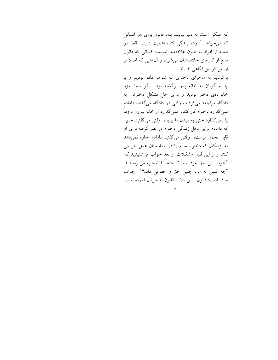که ممکن است به دنیا بیایند. بله، قانون برای هر انسانی که می خواهد آسوده زندگی کند، اهمیت دارد. فقط دو دسته از افراد به قانون علاقهمند نیستند: کسانی که قانون مانع از کارهای خلاف شان می شود، و آنهایی که اصلا از ارزش قوانین آگاهی ندارند.

برگردیم به ماجرای دختری که شوهر داده بودیم و با چشم گریان به خانه پدر برگشته بود. اگر شما جزو خانوادهی دختر بودید و برای حل مشکل دخترتان به دادگاه مراجعه میکردید، وقتی در دادگاه میگفتید دامادم نمی گذارد دخترم کار کند، نمیگذارد از خانه بیرون برود، يا نمي گذارد حتى به ديدن ما بيايد، وقتى مى گفتيد جايى که دامادم برای محل زندگی دخترم در نظر گرفته برای او قابل تحمل نيست، وقتى مى گفتيد دامادم اجازه نمى دهد به پزشکان که دختر بیمارم را در بیمارستان عمل جراحی کنند و از این قبیل مشکلات، و بعد جواب می شنیدید که: "خوب اين حق مرد است"، حتما با تعجب مي پرسيديد: "چه کسی به مرد چنین حق و حقوقی داده؟" جواب ساده است: قانون. این بلا را قانون به سرتان آورده است.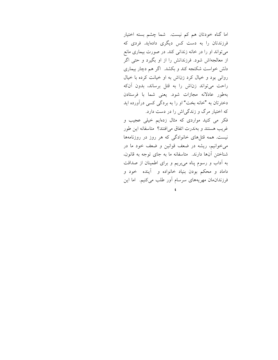اما گناه خودتان هم کم نیست. شما چشم بسته اختیار فرزندتان را به دست کس دیگری دادهاید. فردی که می تواند او را در خانه زندانی کند. در صورت بیماری مانع از معالجهاش شود. فرزندانش را از او بگیرد و حتی اگر دلش خواست شکنجه کند و بکشد. اگر هم دچار بیماری روانی بود و خیال کرد زناش به او خیانت کرده با خیال راحت می تواند زناش را به قتل برساند، بدون آنکه بهطور عادلانه مجازات شود. يعني شما با فرستادن دخترتان به "خانه بخت" او را به بردگی کسی درآورده اید که اختیار مرگ و زندگیاش را در دست دارد. فکر می کنید مواردی که مثال زدهایم خیلی عجیب و غريب هستند و بهندرت اتفاق مي افتند؟ متاسفانه اين طور نیست. همه قتلهای خانوادگی که هر روز در روزنامهها می خوانیم، ریشه در ضعف قوانین و ضعف خود ما در شناختن آنها دارند. متاسفانه ما به جای توجه به قانون، به آداب و رسوم پناه می بریم و برای اطمینان از صداقت داماد و محکم بودن بنیاد خانواده و آینده خود و

فرزندان مان مهریههای سرسام آور طلب میکنیم. اما این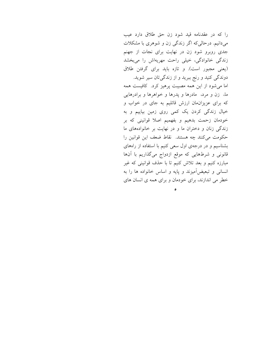را كه در عقدنامه قيد شود زن حق طلاق دارد عيب می دانیم. درحالیکه اگر زندگی زن و شوهری با مشکلات جدی روبرو شود زن در نهایت برای نجات از جهنم زندگی خانوادگی، خیلی راحت مهریهاش را میبخشد (یعنی مجبور است). و تازه باید برای گرفتن طلاق دوندگی کنید و رنج ببرید و از زندگیتان سیر شوید. اما می شود از این همه مصیبت پرهیز کرد. کافیست همه ما، زن و مرد، مادرها و پدرها و خواهرها و برادرهایی که برای عزیزانهان ارزش قائلیم به جای در خواب و خیال زندگی کردن یک کمی روی زمین بیاییم و به خودمان زحمت بدهيم و بفهميم اصلا قوانيني كه بر زندگی زنان و دختران ما و در نهایت بر خانوادههای ما حکومت میکنند چه هستند. نقاط ضعف این قوانین را بشناسیم و در درجهی اول سعی کنیم با استفاده از راههای قانونی و شرطهایی که موقع ازدواج میگذاریم با آنها مبارزه کنیم و بعد تلاش کنیم تا با حذف قوانینی که غیر انسانی و تبعیضآمیزند و پایه و اساس خانواده ها را به خطر می اندازند، برای خودمان و برای همه ی انسان های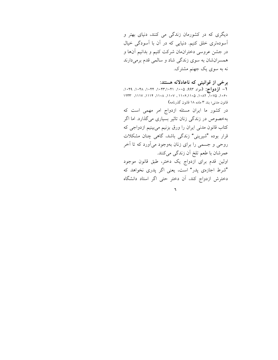دیگری که در کشورمان زندگی می کنند، دنیای بهتر و آسودهتری خلق کنیم. دنیایی که در آن با آسودگی خیال در جشن عروسی دختران.ان شرکت کنیم و بدانیم آنها و همسرانشان به سوی زندگی شاد و سالمی قدم برمیدارند نه به سوی یک جهنم مشترک.

## برخی از قوانینی که ناعادلانه هستند:

۱– ازدواج: (مواد ۹۹۳، ۱۰۰۵، ۱۰۲۱،۳۲،۱۰۴۱، ۱۰۴۸، ۱۰۴۹، 1977 (111V (111F (11+A (11+V) (11+F(11+Q (1+AT (1+VQ (1+F+ قانون مدنى؛ بند ٣ ماده ١٨ قانون گذرنامه)

در کشور ما ایران مسئله ازدواج امر مهمی است که بهخصوص در زندگی زنان تاثیر بسیاری میگذارد. اما اگر کتاب قانون مدنی ایران را ورق بزنیم میبینیم ازدواجی که قرار بوده "شیرینی" زندگی باشد، گاهی چنان مشکلات روحی و جسمی را برای زنان بهوجود میآورد که تا آخر عمرشان با طعم تلخ اَن زندگی میکنند. اولین قدم برای ازدواج یک دختر، طبق قانون موجود "شرط اجازهي پدر" است، يعني اگر پدري نخواهد كه دخترش ازدواج كند، أن دختر حتى اگر استاد دانشگاه

 $\mathbf{F}$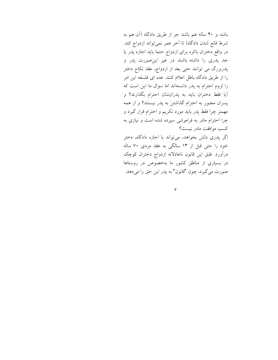باشد و ۴۰ ساله هم باشد جز از طریق دادگاه (آن هم به شرط قانع شدن دادگاه) تا آخر عمر نمیتواند ازدواج کند. در واقع دختران باکره برای ازدواج حتما باید اجازه پدر یا جد پدری را داشته باشند در غیر اینصورت پدر و پدربزرگ می توانند حتی بعد از ازدواج، عقد نکاح دختر را از طریق دادگاه باطل اعلام کنند. عده ای فلسفه این امر را لزوم احترام به پدر دانستهاند اما سوال ما این است که آيا فقط دختران بايد به پدرانشان احترام بگذارند؟ و پسران مجبور به احترام گذاشتن به پدر نیستند؟ و از همه مهمتر چرا فقط پدر باید مورد تکریم و احترام قرار گیرد و چرا احترام مادر به فراموشی سپرده شده است و نیازی به كسب موافقت مادر نيست؟

اگر پدری دلش بخواهد، می تواند با اجازه دادگاه، دختر خود را حتی قبل از ۱۳ سالگی به عقد مردی ۷۰ ساله درآورد. طبق این قانون ناعادلانه ازدواج دختران کوچک در بسیاری از مناطق کشور ما بهخصوص در روستاها صورت میگیرد، چون "قانون" به پدر این حق را میدهد.

 $\mathsf{v}$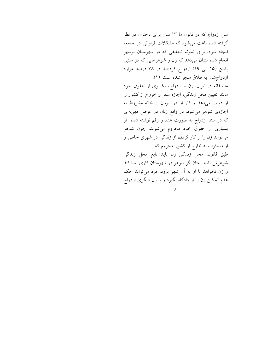سن ازدواج که در قانون ما ۱۳ سال برای دختران در نظر گرفته شده باعث می شود که مشکلات فراوانی در جامعه ایجاد شود، برای نمونه تحقیقی که در شهرستان بوشهر انجام شده نشان میدهد که زن و شوهرهایی که در سنین پایین (۱۵ الی ۱۹) ازدواج کردهاند در ۷۸ درصد موارد ازدواج شان به طلاق منجر شده است. (١).

متاسفانه در ایران، زن با ازدواج، یکسری از حقوق خود مانند تعیین محل زندگی، اجازه سفر و خروج از کشور را از دست میدهد و کار او در بیرون از خانه مشروط به اجازهی شوهر میشود. در واقع زنان در عوض مهریهای که در سند ازدواج به صورت عدد و رقم نوشته شده از بسیاری از حقوق خود محروم میشوند. چون شوهر می تواند زن را از کار کردن، از زندگی در شهری خاص و از مسافرت به خارج از کشور محروم کند.

طبق قانون، محل زندگی زن باید تابع محل زندگی شوهرش باشد. مثلا اگر شوهر در شهرستان کاری پیدا کند و زن نخواهد با او به آن شهر برود، مرد میتواند حکم عدم تمکین زن را از دادگاه بگیرد و با زن دیگری ازدواج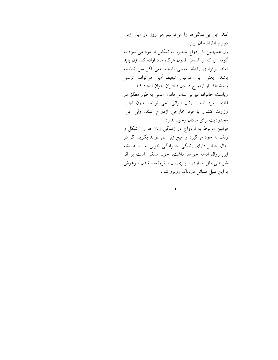کند. این بی عدالتیها را می توانیم هر روز در میان زنان دور و اطرافمان ببينيم. زن همچنین با ازدواج مجبور به تمکین از مرد می شود به گونه ای که بر اساس قانون هرگاه مرد اراده کند زن باید آماده برقراری رابطه جنسی باشد، حتی اگر میل نداشته باشد. يعني اين قوانين تبعيضآميز ميتواند ترسي وحشتناک از ازدواج در دل دختران جوان ایجاد کند. ریاست خانواده نیز بر اساس قانون مدنی به طور مطلق در اختیار مرد است. زنان ایرانی نمی توانند بدون اجازه وزارت کشور با فرد خارجی ازدواج کنند، ولی این محدودیت برای مردان وجود ندارد. قوانین مربوط به ازدواج در زندگی زنان هزاران شکل و رنگ به خود میگیرد و هیچ زنی نمیتواند بگوید اگر در حال حاضر دارای زندگی خانوادگی خوبی است، همیشه این روال ادامه خواهد داشت، چون ممکن است بر اثر شرایطی مثل بیماری یا پیری زن یا ثروتمند شدن شوهرش با این قبیل مسائل دردناک روبرو شود.

 $\mathbf{\mathsf{q}}$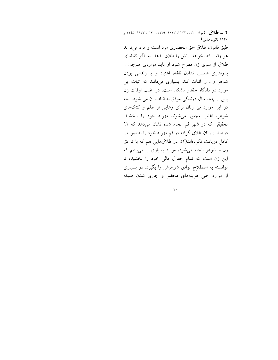٢ \_ طلاق: (مواد ١١٢٠، ١١٢٢، ١١٣٣، ١١٣٩، ١١٣٥، ١١٢٥ و ۱۱۴۶ قانون مدنبي)

طبق قانون، طلاق حق انحصارى مرد است و مرد مى تواند هر وقت که بخواهد زنش را طلاق بدهد. اما اگر تقاضای طلاق از سوی زن مطرح شود او باید مواردی همچون: بدرفتاری همسر، ندادن نفقه، اعتیاد و یا زندانی بودن شوهر و... را اثبات کند. بسیاری میدانند که اثبات این موارد در دادگاه چقدر مشکل است. در اغلب اوقات زن پس از چند سال دوندگی موفق به اثبات آن می شود. البته در این موارد نیز زنان برای رهایی از ظلم و کتکهای شوهر، اغلب مجبور میشوند مهریه خود را ببخشند. تحقیقی که در شهر قم انجام شده نشان میدهد که ۹۱ درصد از زنان طلاق گرفته در قم مهریه خود را به صورت کامل دریافت نکردهاند(۲). در طلاقهایی هم که با توافق زن و شوهر انجام میشود، موارد بسیاری را میبینیم که این زن است که تمام حقوق مالی خود را بخشیده تا توانسته به اصطلاح توافق شوهرش را بگیرد. در بسیاری از موارد حتی هزینههای محضر و جاری شدن صیغه

 $\mathbf{A}$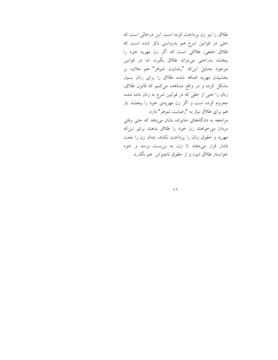طلاق را نیز زن پرداخت کرده است. این درحالی است که حتی در قوانین شرع هم بهروشنی ذکر شده است که طلاق خلعی، طلاقی است که اگر زن مهریه خود را ببخشد بهراحتی میتواند طلاق بگیرد، اما در قوانین موجود بهدلیل اینکه "رضایت شوهر" هم علاوه بر بخشیدن مهریه اضافه شده، طلاق را برای زنان بسیار مشکل کرده و در واقع مشاهده میکنیم که قانون طلاق، زنان را حتی از حقی که در قوانین شرع به زنان داده شده، محروم کرده است و اگر زن مهریهی خود را ببخشد باز هم برای طلاق نیاز به "رضایت شوهر" دارد. مراجعه به دادگاههای خانواده نشان میدهد که حتی وقتی مردان می خواهند زن خود را طلاق بدهند برای این که مهريه و حقوق زنان را پرداخت نكنند، چنان زن را تحت فشار قرار میدهند تا زن، به بنبست برسد و خود

خواستار طلاق شود و از حقوق ناچیزش هم بگذرد.

 $\mathbf{A}$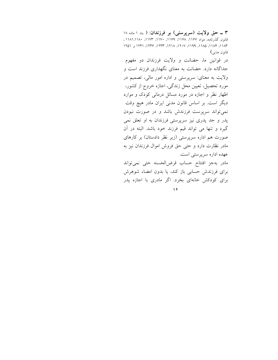۳ ــ حق ولايت (سرپرستي) بر فرزندان: ( بند ۱ ماده ۱۸ قانون گذرنامه، مواد ۱۱۶۷، ۱۱۶۸، ۱۱۶۹، ۱۱۷۰، ۱۱۷۳، ۱۱۸۱،۱۱۸۰، ١١٨٣، ١١٨٣، ١١٨٥، ١١٩٩، ١٢٠٧، ١٢٨٨، ١٢٣٢، ١٢٣١ و ١٢٥١ قانون مدنى)

در قوانین ما، حضانت و ولایت فرزندان دو مفهوم جداگانه دارد. حضانت به معنای نگهداری فرزند است و ولايت به معناى: سرپرستى و اداره امور مالى، تصميم در مورد تحصیل، تعیین محل زندگی، اجازه خروج از کشور، اظهار نظر و اجازه در مورد مسائل درمانی کودک و موارد دیگر است. بر اساس قانون مدنی ایران مادر هیچ وقت نمی تواند سرپرست فرزندش باشد و در صورت نبودن یدر و جد یدری نیز سرپرستی فرزندان به او تعلق نمی گیرد و تنها می تواند قیم فرزند خود باشد. البته در آن صورت هم اداره سرپرستی (زیر نظر دادستان) بر کارهای مادر نظارت دارد و حتى حق فروش اموال فرزندان نيز به عهده اداره سرپرستی است. مادر بهجز افتتاح حساب قرض الحسنه حتى نمى تواند برای فرزندش حسابی باز کند، یا بدون امضاء شوهرش

برای کودکش خانهای بخرد. اگر مادری با اجازه پدر

 $\gamma$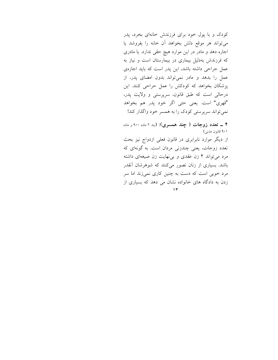کودک و با پول خود برای فرزندش خانهای بخرد، پدر می تواند هر موقع دلش بخواهد آن خانه را بفروشد يا اجاره دهد و مادر در این موارد هیچ حقی ندارد. یا مادری که فرزندش بهدلیل بیماری در بیمارستان است و نیاز به عمل جراحی داشته باشد، این پدر است که باید اجازهی عمل را بدهد و مادر نمی تواند بدون امضای پدر، از پزشکان بخواهد که کودکش را عمل حراحی کنند. این درحالي است كه طبق قانون، سرپرستي و ولايت پدر، "قهري" است. يعني حتى اگر خود پدر هم بخواهد نمي تواند سرپرستي کودک را به همسر خود واگذار کند!

۴ ــ تعدد زوجات ( چند همسری): (بند ۲ ماده ۹۰۰ و ماده ۹۰۱ قانون مدنی) از دیگر موارد نابرابری در قانون فعلی ازدواج نیز بحث تعدد زوجات، يعني چندزني مردان است. به گونهاي كه مرد می تواند ۴ زن عقدی و بی نهایت زن صیغهای داشته باشد. بسیاری از زنان تصور میکنند که شوهرشان آنقدر مرد خوبی است که دست به چنین کاری نمیزند اما سر

زدن به دادگاه های خانواده نشان می دهد که بسیاری از  $\gamma$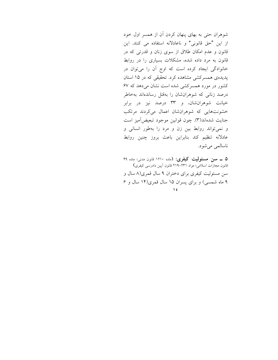شوهران حتی به بهای پنهان کردن آن از همسر اول خود از این "حق قانونی" و ناعادلانه استفاده می کنند. این قانون و عدم امکان طلاق از سوی زنان و قدرتی که در قانون به مرد داده شده، مشکلات بسیاری را در روابط خانوادگی ایجاد کرده است که اوج آن را میتوان در یدیدهی همسرکشی مشاهده کرد. تحقیقی که در ۱۵ استان کشور در مورد همسرکشی شده است نشان می دهد که ۶۷ درصد زنانی که شوهرانشان را بهقتل رساندهاند بهخاطر خیانت شوهرانشان، و ۳۳ درصد نیز در برابر خشونتهایی که شوهرانشان اعمال میکردند مرتکب جنايت شدهاند(٣). چون قوانين موجود تبعيض آميز است و نمي تواند روابط بين زن و مرد را بهطور انساني و عادلانه تنظيم كند بنابراين باعث بروز چنين روابط ناسالمي مي شود.

۵ \_ سىن مسئوليت كيفرى: (ماده ١٢١٠ قانون مدنى؛ ماده ۴۹ قانون مجازات اسلامی؛ مواد ٢٣١-٢١٩ قانون آيين دادرسي كيفري) سن مسئولیت کیفری برای دختران ۹ سال قمری(۸ سال و ۹ ماه شمسی) و برای پسران ۱۵ سال قمری(۱۴ سال و ۶  $\sqrt{t}$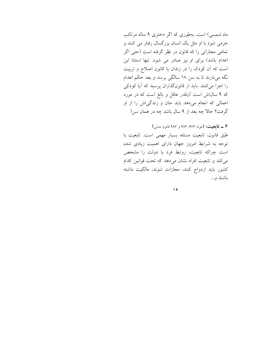ماه شمسی) است. بهطوری که اگر دختری ۹ ساله مرتکب جرمی شود با او مثل یک انسان بزرگسال رفتار می کنند و تمامی مجازاتی را که قانون در نظر گرفته است (حتی اگر اعدام باشد) برای او نیز صادر می شود. تنها استثنا این است که آن کودک را در زندان یا کانون اصلاح و تربیت نگه میدارند تا به سن ۱۸ سالگی برسد و بعد حکم اعدام را اجرا میکنند. باید از قانونگذاران پرسید که آیا کودکی که ۹ سالاش است آنقدر عاقل و بالغ است که در مورد اعمالی که انجام میدهد باید جان و زندگیاش را از او گرفت؟ حالا چه بعد از ۹ سال باشد چه در همان سن!

۶ ــ تابعیت: (مواد ۹۷۶، ۹۸۶ و ۹۸۷ قانون مدنی) طبق قانون، تابعیت مسئله بسیار مهمی است. تابعیت با توجه به شرایط امروز جهان دارای اهمیت زیادی شده است چراکه تابعیت، روابط فرد با دولت را مشخص می کند و تابعیت افراد نشان می دهد که تحت قوانین کدام كشور بايد ازدواج كنند، مجازات شوند، مالكيت داشته باشند و …

 $\Delta$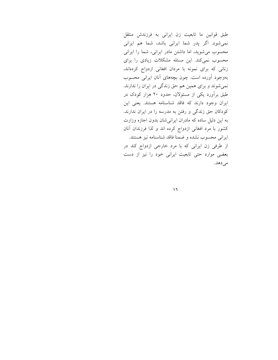طبق قوانین ما تابعیت زن ایرانی به فرزندش منتقل نمی شود. اگر پدر شما ایرانی باشد، شما هم ایرانی محسوب می شوید، اما داشتن مادر ایرانی، شما را ایرانی محسوب نمیکند. این مسئله مشکلات زیادی را برای زنانی که برای نمونه با مردان افغانی ازدواج کردهاند، بهوجود آورده است. چون بچههای آنان ایرانی محسوب نمیشوند و برای همین هم حق زندگی در ایران را ندارند. طبق برآورد یکی از مسئولان، حدود ۲۰ هزار کودک در ایران وجود دارند که فاقد شناسنامه هستند. یعنی این کودکان حق زندگی و رفتن به مدرسه را در ایران ندارند. به این دلیل ساده که مادران ایرانی شان بدون اجازه وزارت کشور با مرد افغانی ازدواج کرده اند و لذا فرزندان آنان ايراني محسوب نشده و ضمنا فاقد شناسنامه نيز هستند. از طرفی زن ایرانی که با مرد خارجی ازدواج کند در بعضی موارد حتی تابعیت ایرانی خود را نیز از دست می دهد.

 $\mathcal{L}$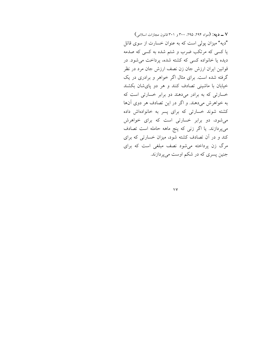٧ ـــ ديه: (مواد ٢٩٤، ٢٩٥، ٢٠٨، ٣٠٠ و ٣٠١ قانون مجازات اسلامي) "دیه" میزان پولی است که به عنوان خسارت از سوی قاتل یا کسی که مرتکب ضرب و شتم شده به کسی که صدمه دیده یا خانواده کسی که کشته شده، پرداخت می شود. در قوانین ایران ارزش جان زن نصف ارزش جان مرد در نظر گرفته شده است. برای مثال اگر خواهر و برادری در یک خیابان با ماشینی تصادف کنند و هر دو پایشان بکشند خسارتی که به برادر میدهند دو برابر خسارتی است که به خواهرش میدهند. و اگر در این تصادف هر دوی آنها کشته شوند خسارتی که برای پسر به خانوادهاش داده می شود، دو برابر خسارتی است که برای خواهرش میپردازند. یا اگر زنی که پنج ماهه حامله است تصادف کند و در آن تصادف کشته شود، میزان خسارتی که برای مرگ زن پرداخته میشود نصف مبلغی است که برای جنین پسری که در شکم اوست میپردازند.

 $\sqrt{2}$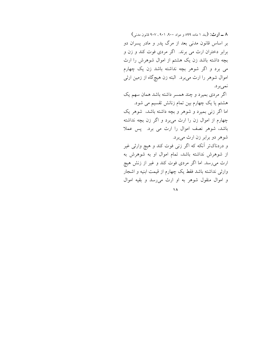۸ ـــ اوث: (بند ۱ ماده ۸۹۹ و مواد ۹۰۰، ۹۰۱، ۹۰۷ قانون مدنی) بر اساس قانون مدنی بعد از مرگ پدر و مادر پسران دو برابر دختران ارث می برند. اگر مردی فوت کند و زن و بچه داشته باشد زن یک هشتم از اموال شوهرش را ارث می برد و اگر شوهر بچه نداشته باشد زن یک چهارم اموال شوهر را ارث می برد. البته زن هیچگاه از زمین ارثی نميبرد. اگر مردی بمیرد و چند همسر داشته باشد همان سهم یک هشتم یا یک چهارم بین تمام زنانش تقسیم می شود. اما اگر زنی بمیرد و شوهر و بچه داشته باشد، شوهر یک چهارم از اموال زن را ارث میٍ برد و اگر زن بچه نداشته باشد، شوهر نصف اموال را ارث می برد. پس عملا شوهر دو برابر زن ارث می برد. و دردناکتر اّنکه که اگر زنی فوت کند و هیچ وارثی غیر از شوهرش نداشته باشد، تمام اموال او به شوهرش به ارث میرسد. اما اگر مردی فوت کند و غیر از زنش هیچ وارثی نداشته باشد فقط یک چهارم از قیمت ابنیه و اشجار و اموال منقول شوهر به او ارث می رسد و بقیه اموال

 $\Lambda$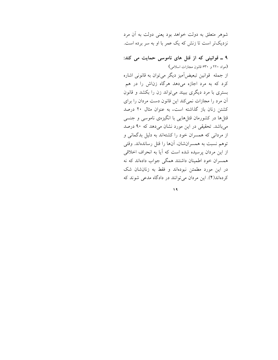شوهر متعلق به دولت خواهد بود يعني دولت به أن مرد نزدیکتر است تا زنش که یک عمر با او به سر برده است.

۹ ـ قوانینی که از قتل های ناموسی حمایت می کند: (مواد ۲۲۰ و ۶۳۰ قانون مجازات اسلامی)

از جمله قوانین تبعیضآمیز دیگر می توان به قانونی اشاره کرد که به مرد اجازه میدهد هرگاه زناش را در هم بستری با مرد دیگری ببیند میتواند زن را بکشد و قانون آن مرد را مجازات نمی کند این قانون دست مردان را برای کشتن زنان باز گذاشته است. به عنوان مثال ۲۰ درصد قتلها در کشورمان قتلهایی با انگیزهی ناموسی و جنسی میباشد. تحقیقی در این مورد نشان میدهد که ۹۰ درصد از مردانی که همسران خود را کشتهاند به دلیل بدگمانی و توهم نسبت به همسرانشان، آنها را قتل رساندهاند. وقتى از این مردان پرسیده شده است که آیا به انحراف اخلاقی همسران خود اطمینان داشتند همگی جواب دادهاند که نه در این مورد مطمئن نبودهاند و فقط به زنانشان شک کر دهاند(۴). این مردان می توانند در دادگاه مدعی شوند که

 $\sqrt{9}$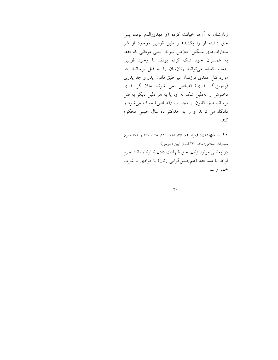زنانشان به آنها خیانت کرده (و مهدورالدم بوده، پس حق داشته او را بکشد) و طبق قوانین موجود از شر مجازاتهای سنگین خلاص شوند. یعنی مردانی که فقط به همسران خود شک کرده بودند با وجود قوانین حمایتکننده می توانند زنانشان را به قتل برسانند. در مورد قتل عمدی فرزندان نیز طبق قانون پدر و جد پدری (پدربزرگ پدری) قصاص نمی شوند، مثلا اگر پدری دخترش را بهدلیل شک به او، یا به هر دلیل دیگر به قتل برساند طبق قانون از مجازات (قصاص) معاف می شود و دادگاه می تواند او را به حداکثر ده سال حبس محکوم كند.

**۱۰ \_ شهادت: (**مواد ۷۴ ۷۵، ۱۱۸، ۱۱۹، ۱۲۸، ۱۳۷ و ۱۷۱ قانون مجازات اسلامی؛ ماده ۲۳۰ قانون آیین دادرسی) در بعضی موارد زنان، حق شهادت دادن ندارند، مانند جرم لواط يا مساحقه (همجنس گرايي زنان) يا قوادي يا شرب خمر و ….

 $\mathbf{y}$  .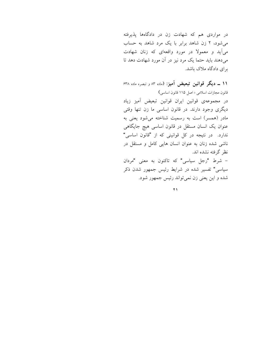در مواردی هم که شهادت زن در دادگاهها پذیرفته می شود، ۲ زن شاهد برابر با یک مرد شاهد به حساب می آید و معمولا در مورد واقعهای که زنان شهادت می دهند باید حتما یک مرد نیز در آن مورد شهادت دهد تا برای دادگاه ملاک باشد.

۱۱ ــ دیگر قوانین تبعیض آمیز: (ماده ۸۳ و تبصره ماده ۶۳۸ قانون مجازات اسلامی ؛ اصل ۱۱۵ قانون اساسی) در مجموعهى قوانين ايران قوانين تبعيض آميز زياد دیگری وجود دارند. در قانون اساسی ما زن تنها وقتی مادر (همسر) است به رسمیت شناخته میشود یعنی به عنوان یک انسان مستقل در قانون اساسی هیچ جایگاهی ندارد. در نتیجه در کل قوانینی که از "قانون اساسی" ناشی شده زنان به عنوان انسان هایی کامل و مستقل در نظر گرفته نشده اند. - شرط "رجل سیاسی" که تاکنون به معنی "مردان

سیاسی" تفسیر شده در شرایط رئیس جمهور شدن ذکر شده و اين يعني زن نمي تواند رئيس جمهور شود.

 $\overline{Y}$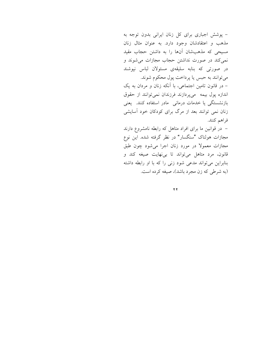- پوشش اجباری برای کل زنان ایرانی بدون توجه به مذهب و اعتقادشان وجود دارد. به عنوان مثال زنان مسیحی که مذهبشان آنها را به داشتن حجاب مقید نمی کند در صورت نداشتن حجاب مجازات می شوند و در صورتی که بنابه سلیقهی مسئولان لباس نپوشند می توانند به حبس یا پرداخت پول محکوم شوند. – در قانون تامین اجتماعی، با آنکه زنان و مردان به یک اندازه پول بیمه میپردازند فرزندان نمیتوانند از حقوق بازنشستگی یا خدمات درمانی مادر استفاده کنند. یعنی زنان نمی توانند بعد از مرگ برای کودکان خود آسایشی فراهم كنند. – در قوانین ما برای افراد متاهل که رابطه نامشروع دارند

مجازات هولناک "سنگسار" در نظر گرفته شده. این نوع مجازات معمولا در مورد زنان اجرا میشود چون طبق قانون، مرد متاهل میتواند تا بی نهایت صیغه کند و بنابراین می تواند مدعی شود زنی را که با او رابطه داشته (به شرطی که زن مجرد باشد)، صیغه کرده است.

 $\overline{Y}$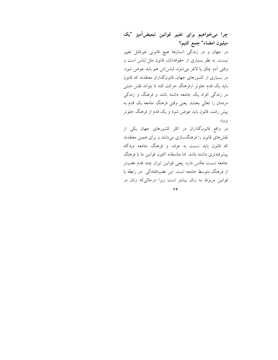## چرا میخواهیم برای تغییر قوانین تبعیضآمیز "یک ميليون امضاء" جمع كنيم؟

در جهان و در زندگی انسانها هیچ قانونی غیرقابل تغییر نیست. به نظر بسیاری از حقوقدانان، قانون مثل لباس است و وقتی آدم چاق یا لاغر میشود، لباس(ش هم باید عوض شود. در بسیاری از کشورهای جهان، قانونگذاران معتقدند که قانون باید یک قدم جلوتر ازفرهنگ حرکت کند تا بتواند نقش مثبتی در زندگی افراد یک جامعه داشته باشد و فرهنگ و زندگی مردمان را تعالی بخشد. یعنی وقتی فرهنگ جامعه یک قدم به پیش رفت، قانون باید عوض شود و یک قدم از فرهنگ جلوتر برود.

در واقع قانونگذاران در اکثر کشورهای جهان یکی از نقشهای قانون را فرهنگسازی میدانند و برای همین معتقدند که قانون باید نسبت به عرف و فرهنگ جامعه دیدگاه پیشرفتهتری داشته باشد. اما متاسفانه اکنون قوانین ما با فرهنگ جامعه نسبت عكس دارد. يعني قوانين ايران چند قدم عقبتر از فرهنگ متوسط جامعه است. این عقبافتادگی در رابطه با قوانین مربوط به زنان بیشتر است زیرا درحالی که زنان در

 $\tau$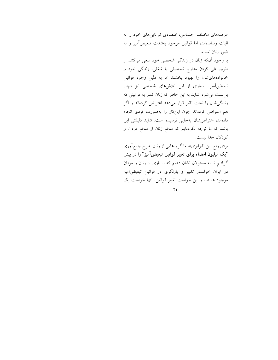عرصههای مختلف اجتماعی، اقتصادی تواناییهای خود را به اثبات رساندهاند، اما قوانین موجود بهشدت تبعیضآمیز و به ضرر زنان است.

با وجود آنکه زنان در زندگی شخصی خود سعی میکنند از طریق طی کردن مدارج تحصیلی یا شغلی، زندگی خود و خانوادههای شان را بهبود بخشند اما به دلیل وجود قوانین تبعیضآمیز، بسیاری از این تلاشهای شخصی نیز دچار بن بست می شود. شاید به این خاطر که زنان کمتر به قوانینی که زندگی شان را تحت تاثیر قرار میدهد اعتراض کردهاند و اگر هم اعتراض کردهاند چون اینکار را بهصورت فردی انجام دادهاند، اعتراض شان بهجایی نرسیده است. شاید دلیلش این باشد که ما توجه نکردهایم که منافع زنان از منافع مردان و كو دكان جدا نيست.

برای رفع این نابرابریها ما گروههایی از زنان، طرح جمع|وری **"یک میلیون امضاء برای تغییر قوانین تبعیضآمیز"** را در پیش گرفتیم تا به مسئولان نشان دهیم که بسیاری از زنان و مردان در ایران خواستار تغییر و بازنگری در قوانین تبعیضآمیز موجود هستند و این خواست تغییر قوانین، تنها خواست یک

 $\forall$  ź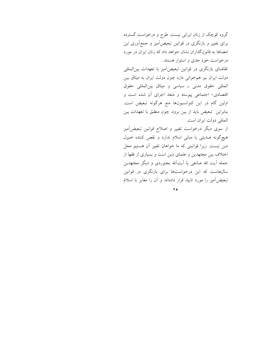گروه کوچک از زنان ایرانی نیست. طرح و درخواست گسترده برای تغییر و بازنگری در قوانین تبعیضآمیز و جمعأوری این امضاها به قانونگذاران نشان خواهد داد که زنان ایران در مورد درخواست خود جدی و استوار هستند.

تقاضای بازنگری در قوانین تبعیضآمیز با تعهدات بینالمللی دولت ایران نیز همخوانی دارد چون دولت ایران به میثاق بین المللي حقوق مدنى \_ سياسى و ميثاق بين المللي حقوق اقتصادی- اجتماعی پیوسته و متعد اجرای آن شده است و اولین گام در این کنوانسیونها منع هرگونه تبعیض است. بنابراین تبعیض باید از بین برود. چون منطبق با تعهدات بین المللي دولت ايران است.

از سوی دیگر درخواست تغییر و اصلاح قوانین تبعیضآمیز هیچگونه ضدیتی با مبانی اسلام ندارد و نقص کننده اصول دین نیست. زیرا قوانینی که ما خواهان تغییر آن هستیم محل اختلاف بین مجتهدین و علمای دین است و بسیاری از فقها از جمله آیت الله صانعی یا آیتآلله بجنوردی و دیگر مجتهدین سالهاست که این درخواستها برای بازنگری در قوانین تبعیضآمیز را مورد تایید قرار دادهاند و آن را مغایر با اسلام

 $50$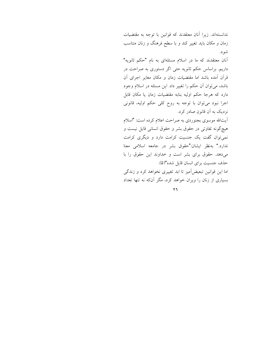ندانستهاند. زیرا آنان معتقدند که قوانین با توجه به مقتضیات زمان و مکان باید تغییر کند و با سطح فرهنگ و زنان متناسب شود.

آنان معتقدند که ما در اسلام مسئلهای به نام "حکم ثانویه" داریم. براساس حکم ثانویه حتی اگر دستوری به صراحت در قرأن أمده باشد اما مقتضيات زمان و مكان مغاير اجراي أن باشد، می توان آن حکم را تغییر داد. این مسئله در اسلام وجود دارد که هرجا حکم اولیه بنابه مقتضیات زمان یا مکان قابل اجرا نبود میتوان با توجه به روح کلی حکم اولیه، قانونی نزدیک به آن قانون صادر کرد.

آیتالله موسوی بجنوردی به صراحت اعلام کرده است: "اسلام هیچگونه تفاوتی در حقوق بشر و حقوق انسانی قایل نیست و نمی توان گفت یک جنسیت کرامت دارد و دیگری کرامت ندارد." بهنظر ایشان:"حقوق بشر در جامعه اسلامی معنا میدهد. حقوق برای بشر است و خداوند این حقوق را با حذف جنسیت برای انسان قایل شده"(۵).

اما این قوانین تبعیضآمیز تا ابد تغییری نخواهد کرد و زندگی بسیاری از زنان را ویران خواهد کرد، مگر آنکه نه تنها تعداد

 $\mathbf{y}$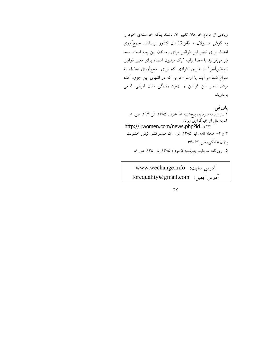زیادی از مردم خواهان تغییر آن باشند بلکه خواستهی خود را به گوش مسئولان و قانونگذاران کشور برسانند. جمعآوری امضاء برای تغییر این قوانین برای رساندن این پیام است. شما نیز میتوانید با امضا بیانیه "یک میلیون امضاء برای تغییر قوانین تبعیضآمیز" از طریق افرادی که برای جمعآوری امضاء به سراغ شما می آیند یا ارسال فرمی که در انتهای این جزوه آمده برای تغییر این قوانین و بهبود زندگی زنان ایرانی قدمی برداريد.

پاورقي: ۱ ـ روزنامه سرمایه، پنجشنبه ۱۸ خرداد ۱۳۸۵، ش ۱۹۴، ص. ۸ ۲ـ به نقل از خبرگزاری ایرنا، http://irwomen.com/news.php?id=rrr ۳ و ۴- مجله نامه، تیر ۱۳۸۵، ش. ۵۱، همسرکشی تبلور خشونت پنهان خانگي، ص ۶۲-۶۶ ۵– روزنامه سرمایه، پنجشنبه ۵ مرداد ۱۳۸۵، ش ۲۳۵، ص ۸.

Www.wechange.info ic forequality@gmail.com i أدرس ايميل:

 $\mathbf{y}$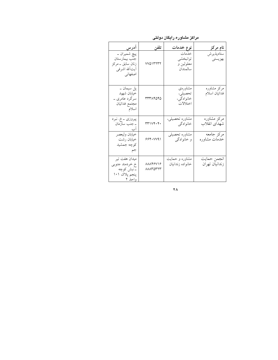| اد <u>رس</u>                                                                   | تلفن                       | نوع خدمات                                   | نام مرکز                      |
|--------------------------------------------------------------------------------|----------------------------|---------------------------------------------|-------------------------------|
| پيچ شميران _<br>جنب بيمارستان<br>زنان سابق _ مركز<br>أيت ألله اشرفي<br>اصفهاني | <b>VVQITTTT</b>            | خدمات<br>توانبخشي<br>معلولين و<br>سالمندان  | ستادپذيرش<br>بهزيستي          |
| پل سیمان ــ<br>خيابان شهيد<br>سرگرد عامری ۔<br>مجتمع فدائيان<br>اسلام          | ۳۳۳۸۴۵۴۵                   | مشاورەي<br>تحصيلي،<br>خانوادگی،<br>اختلالات | مرکز مشاوره<br>فدائيان اسلام  |
| پيروزي _خ. نبرد<br>ــ جنب سازمان                                               | ٣٣١٧۴٠۴٠                   | مشاوره تحصيلي،<br>خانوادگی                  | مرکز مشاوره<br>شهداي انقلاب   |
| خيابان وليعصر<br>خيابان رشت<br>كوچه جمشيد<br>جم                                | 994.0091                   | مشاوره تحصيلي<br>و خانوادگی                 | مركز جامعه<br>خدمات مشاوره    |
| میدان هفت تیر<br>خ خردمند جنوبي<br>۔نبش کوچه<br>پنجم پلاک ۱۰۱<br>ه احد ۲       | <b>MAYSV19</b><br>۸۸۸۳۵۳۲۳ | مشاوره و حمایت<br>خانواده زندانيان          | انجمن حمايت<br>زندانيان تهران |

مراکز مشاوره رایگان دولتی

 $\mathbf{Y}$   $\mathbf{A}$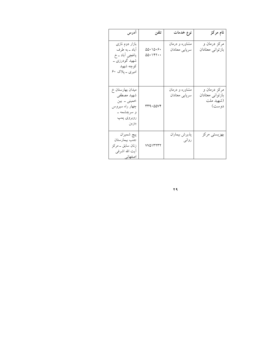| ادرس                                                                                                             | تلفن                  | نوع خدمات                        | نام مرکز                                               |
|------------------------------------------------------------------------------------------------------------------|-----------------------|----------------------------------|--------------------------------------------------------|
| بازار دوم نازی<br>أباد _ به طرف<br>یاغچی أباد ــ خ<br>شھید گودرزی ــ<br>كوچه شهيد<br>امیری <sub>– پلا</sub> ک ۶۰ | 00.10.9.<br>$00.1$ ۴۲ | مشاوره و درمان<br>سرپایی معتادان | مرکز درمان و<br>بازتواني معتادان                       |
| میدان بهارستان خ<br>شهيد مصطفى<br>خميني ۔ بين<br>چهار راه سیروس<br>و سرچشمه _<br>روبروي پمپ<br>بنزين             | ۳۳۹۰۵۵۷۴              | مشاوره و درمان<br>سريايي معتادان | مرکز درمان و<br>بازتواني معتادان<br>(شهيد ملت<br>دوست) |
| پيچ شميران<br>جنب بيمارستان<br>زنان سابق _ مركز<br>آيت الله اشرف <sub>ى</sub><br>اصفهانه ا                       | vvontrry              | پذيرش بيماران<br>روانى           | بهزيستي مركز                                           |

 $\overline{1}$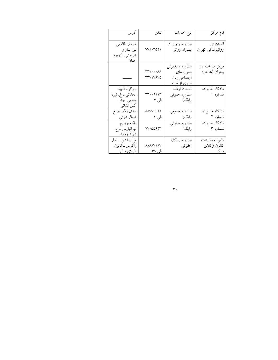| آدرس                                                              | تلفن                                       | نوع خدمات                                                           | نام مرکز                              |
|-------------------------------------------------------------------|--------------------------------------------|---------------------------------------------------------------------|---------------------------------------|
| خيابان طالقاني<br>بین بهار و<br>شريعتي _ كوچه<br>جهان             | VV9.7051                                   | مشاوره و ویزیت<br>بیماران روانبی                                    | انستيتوي<br>روانپزشکی تهران           |
|                                                                   | <b>TTV··· AA</b><br><b><i>TTV1V9VQ</i></b> | مشاوره و پذیرش<br>بحران هاي<br>اجتماعي زنان<br><u>فراری از خانه</u> | مرکز مداخله در<br>بحران (هاجر)        |
| بزرگراه شهيد<br>محلاتي _ خ. نبرد<br>جنوبي جنب<br><u>اتش نشانی</u> | $rr \cdot 911r$<br>الی ۷                   | قسمت ارشاد<br>مشاوره حقوقى<br>رایگان                                | دادگاه خانواده<br>شماره ۱             |
| ميدان ونک ضلع<br>شمال شرقي                                        | 8877471<br>الی ۳<br><u>الی</u> ۳           | مشاوره حقوقبي<br>رایگان                                             | دادگاه خانواده<br>شماره ۲             |
| فلكه چهارم<br>تهرانپارس ــ خ.<br>شهيد وفادار                      | ۷۷۰۵۵۶۴۳                                   | مشاوره حقوقبي<br>رایگان                                             | دادگاه خانواده<br>شماره ۳             |
| خ آرژانتین ــ اول<br>زاگرس _ كانون<br>وکلای مرکز                  | <b>AAAAV19V</b><br>الی ۶۹                  | مشاوره رايگان<br>حقوقى                                              | دايره معاضدت<br>كانون وكلاى<br>مرکز ۔ |

 $\overline{\mathbf{r}}$  .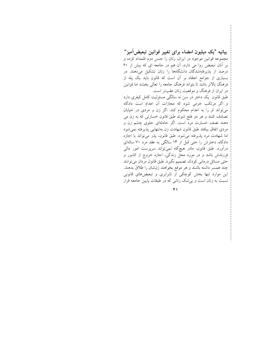بیانیه "یک میلیون امضاء برای تغییر قوانین تبعیض آمیز" مجموعه قوانین موجود در ایران، زنان را جنس دوم قلمداد کرده و بر آنان تبعیض روا می دارد، آن هم در جامعه ای که بیش از ۶۰ درصد از پذیرفتهشدگان دانشگاهها را زنان تشکیل میدهند. در بسیاری از جوامع اعتقاد بر أن است که قانون باید یک پله از فرهنگ بالاتر باشد تا بتواند فرهنگ جامعه را تعالی بخشد اما قوانین در ایران از فرهنگ و موقعیت زنان عقبتر است.

طبق قانون یک دختر در سن نه سالگی مسئولیت کامل کیفری دارد و اگر مرتکب جرمی شود که مجازات آن اعدام است دادگاه می تواند او را به اعدام محکوم کند. اگر زن و مردی در خیابان تصادف کنند و هر دو فلج شوند طبق قانون خسارتی که به زن می دهند نصف خسارت مرد است. اگر حادثهای جلوی چشم زن و مردی اتفاق بیافتد طبق قانون شهادت زن بهتنهایی پذیرفته نمیشود اما شهادت مرد پذیرفته می شود. طبق قانون، پدر می تواند با اجازه دادگاه، دخترش را حتی قبل از ۱۳ سالگی به عقد مرد ۷۰ سالهای درآورد. طبق قانون، مادر هیچگاه نمیتواند سرپرست امور مالی فرزندش باشد و در مورد محل زندگی، اجازه خروج از کشور و حتی مسائل درمانی کودک تصمیم بگیرد. طبق قانون مردان میتوانند چند همسر داشته باشند و هر موقع بخواهند زنشان را طلاق بدهند. این موارد تنها بخش کوچکی از نابرابری و تبعیضهای قانونی نسبت به زنان است و بی شک زنانی که در طبقات پایین جامعه قرار

 $\overline{r}$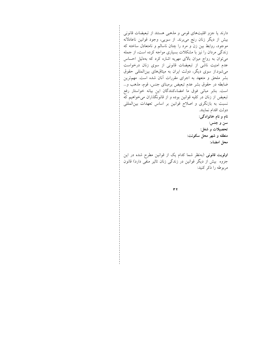دارند یا جزو اقلیتهای قومی و مذهبی هستند از تبعیضات قانونی بیش از دیگر زنان رنج می,برند. از سویی، وجود قوانین ناعادلانه موجود، روابط بین زن و مرد را چنان ناسالم و نامتعادل ساخته که زندگی مردان را نیز با مشکلات بسیاری مواجه کرده است، از جمله میتوان به رواج میزان بالای مهریه اشاره کرد که بهدلیل احساس عدم امنیت ناشی از تبعیضات قانونی از سوی زنان درخواست میشود.از سوی دیگر، دولت ایران به میثاقهای بینالمللی حقوق بشر ملحق و متعهد به اجرای مقررات أنان شده است. مهم ترین ضابطه در حقوق بشر عدم تبعیض برمبنای جنس، قوم، مذهب و… است. بنابر مبانی فوق ما امضاءکنندگان این بیانه خواستار رفع تبعیض از زنان در کلیه قوانین بوده و از قانونگذاران میخواهیم که نسبت به بازنگری و اصلاح قوانین بر اساس تعهدات بینالمللی دولت اقدام نمايند. نام و نام خانوادگی: سن و جنس: تحصيلات و شغل: منطقه و شهر محل سکونت: محل امضاء: اولویت قانونی (بهنظر شما کدام یک از قوانین مطرح شده در این

جزوه بیش از دیگر قوانین در زندگی زنان تاثیر منفی دارد) قانون مربوطه را ذکر کنید:

 $\tau$